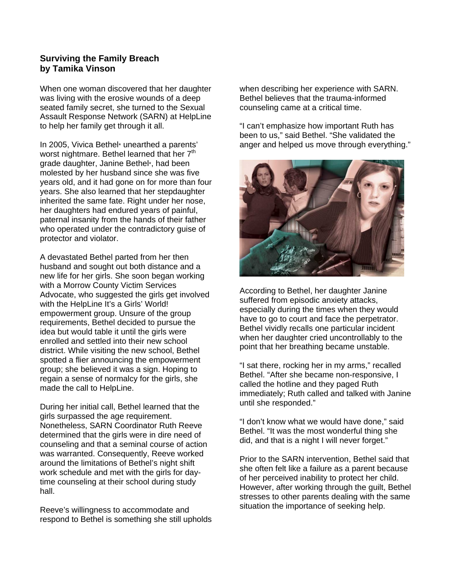## **Surviving the Family Breach by Tamika Vinson**

When one woman discovered that her daughter was living with the erosive wounds of a deep seated family secret, she turned to the Sexual Assault Response Network (SARN) at HelpLine to help her family get through it all.

In 2005, Vivica Bethel\* unearthed a parents' worst nightmare. Bethel learned that her  $7<sup>th</sup>$ grade daughter, Janine Bethel\*, had been molested by her husband since she was five years old, and it had gone on for more than four years. She also learned that her stepdaughter inherited the same fate. Right under her nose, her daughters had endured years of painful, paternal insanity from the hands of their father who operated under the contradictory guise of protector and violator.

A devastated Bethel parted from her then husband and sought out both distance and a new life for her girls. She soon began working with a Morrow County Victim Services Advocate, who suggested the girls get involved with the HelpLine It's a Girls' World! empowerment group. Unsure of the group requirements, Bethel decided to pursue the idea but would table it until the girls were enrolled and settled into their new school district. While visiting the new school, Bethel spotted a flier announcing the empowerment group; she believed it was a sign. Hoping to regain a sense of normalcy for the girls, she made the call to HelpLine.

During her initial call, Bethel learned that the girls surpassed the age requirement. Nonetheless, SARN Coordinator Ruth Reeve determined that the girls were in dire need of counseling and that a seminal course of action was warranted. Consequently, Reeve worked around the limitations of Bethel's night shift work schedule and met with the girls for daytime counseling at their school during study hall.

Reeve's willingness to accommodate and respond to Bethel is something she still upholds when describing her experience with SARN. Bethel believes that the trauma-informed counseling came at a critical time.

"I can't emphasize how important Ruth has been to us," said Bethel. "She validated the anger and helped us move through everything."



According to Bethel, her daughter Janine suffered from episodic anxiety attacks, especially during the times when they would have to go to court and face the perpetrator. Bethel vividly recalls one particular incident when her daughter cried uncontrollably to the point that her breathing became unstable.

"I sat there, rocking her in my arms," recalled Bethel. "After she became non-responsive, I called the hotline and they paged Ruth immediately; Ruth called and talked with Janine until she responded."

"I don't know what we would have done," said Bethel. "It was the most wonderful thing she did, and that is a night I will never forget."

Prior to the SARN intervention, Bethel said that she often felt like a failure as a parent because of her perceived inability to protect her child. However, after working through the guilt, Bethel stresses to other parents dealing with the same situation the importance of seeking help.